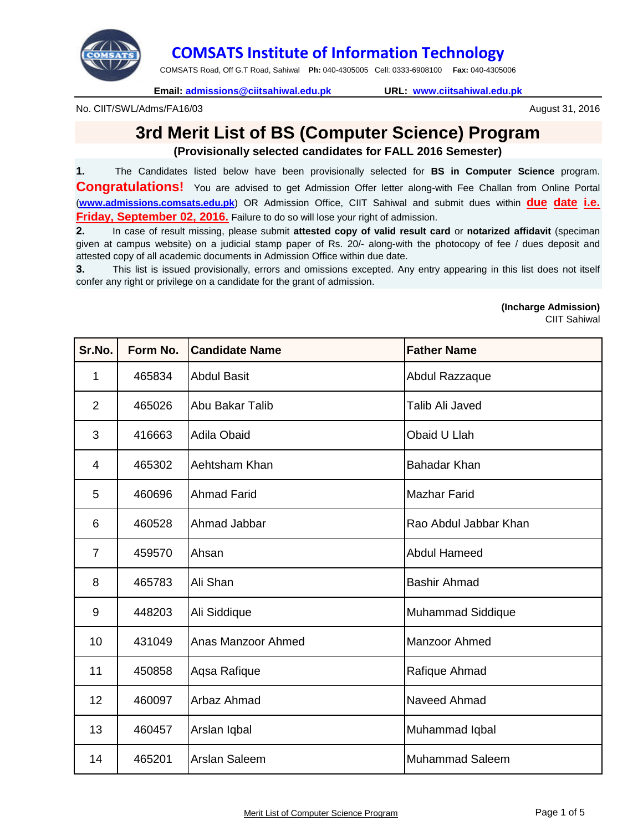

## **COMSATS Institute of Information Technology**

COMSATS Road, Off G.T Road, Sahiwal **Ph:** 040-4305005 Cell: 0333-6908100 **Fax:** 040-4305006

**Email: admissions@ciitsahiwal.edu.pk URL: www.ciitsahiwal.edu.pk**

No. CIIT/SWL/Adms/FA16/03

## **3rd Merit List of BS (Computer Science) Program**

**(Provisionally selected candidates for FALL 2016 Semester)**

**1.** The Candidates listed below have been provisionally selected for **BS in Computer Science** program. **Congratulations!** You are advised to get Admission Offer letter along-with Fee Challan from Online Portal (**www.admissions.comsats.edu.pk**) OR Admission Office, CIIT Sahiwal and submit dues within **due date i.e. Friday, September 02, 2016.** Failure to do so will lose your right of admission.

**2.** In case of result missing, please submit **attested copy of valid result card** or **notarized affidavit** (speciman given at campus website) on a judicial stamp paper of Rs. 20/- along-with the photocopy of fee / dues deposit and attested copy of all academic documents in Admission Office within due date.

**3.** This list is issued provisionally, errors and omissions excepted. Any entry appearing in this list does not itself confer any right or privilege on a candidate for the grant of admission.

## **(Incharge Admission)**

CIIT Sahiwal

August 31, 2016

| Sr.No.         | Form No. | <b>Candidate Name</b> | <b>Father Name</b>       |
|----------------|----------|-----------------------|--------------------------|
| 1              | 465834   | <b>Abdul Basit</b>    | Abdul Razzaque           |
| $\overline{2}$ | 465026   | Abu Bakar Talib       | Talib Ali Javed          |
| 3              | 416663   | <b>Adila Obaid</b>    | Obaid U Llah             |
| 4              | 465302   | Aehtsham Khan         | <b>Bahadar Khan</b>      |
| 5              | 460696   | <b>Ahmad Farid</b>    | <b>Mazhar Farid</b>      |
| 6              | 460528   | Ahmad Jabbar          | Rao Abdul Jabbar Khan    |
| $\overline{7}$ | 459570   | Ahsan                 | <b>Abdul Hameed</b>      |
| 8              | 465783   | Ali Shan              | <b>Bashir Ahmad</b>      |
| 9              | 448203   | Ali Siddique          | <b>Muhammad Siddique</b> |
| 10             | 431049   | Anas Manzoor Ahmed    | <b>Manzoor Ahmed</b>     |
| 11             | 450858   | Aqsa Rafique          | Rafique Ahmad            |
| 12             | 460097   | Arbaz Ahmad           | Naveed Ahmad             |
| 13             | 460457   | Arslan Iqbal          | Muhammad Iqbal           |
| 14             | 465201   | Arslan Saleem         | <b>Muhammad Saleem</b>   |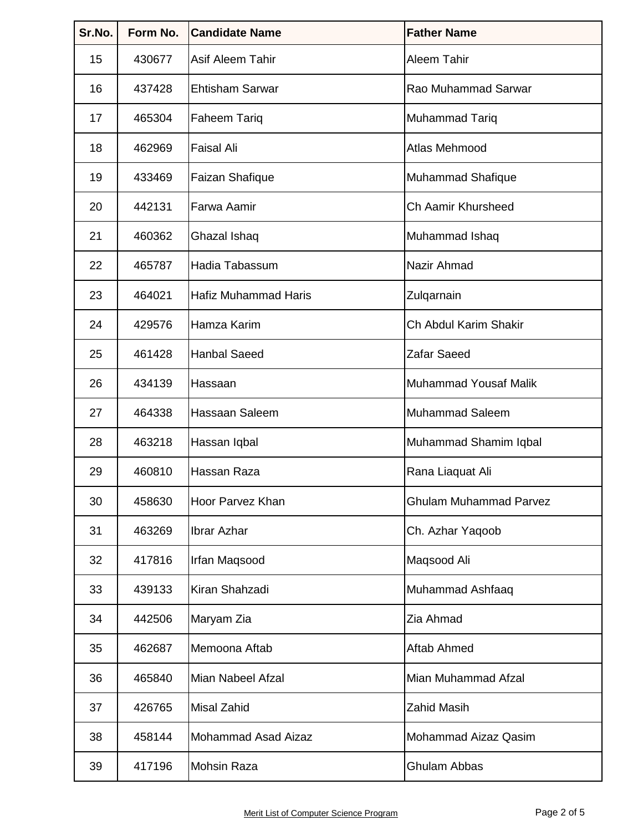| Sr.No. | Form No. | <b>Candidate Name</b>      | <b>Father Name</b>            |
|--------|----------|----------------------------|-------------------------------|
| 15     | 430677   | <b>Asif Aleem Tahir</b>    | Aleem Tahir                   |
| 16     | 437428   | <b>Ehtisham Sarwar</b>     | Rao Muhammad Sarwar           |
| 17     | 465304   | <b>Faheem Tariq</b>        | <b>Muhammad Tariq</b>         |
| 18     | 462969   | <b>Faisal Ali</b>          | Atlas Mehmood                 |
| 19     | 433469   | <b>Faizan Shafique</b>     | Muhammad Shafique             |
| 20     | 442131   | Farwa Aamir                | Ch Aamir Khursheed            |
| 21     | 460362   | Ghazal Ishaq               | Muhammad Ishaq                |
| 22     | 465787   | Hadia Tabassum             | Nazir Ahmad                   |
| 23     | 464021   | Hafiz Muhammad Haris       | Zulqarnain                    |
| 24     | 429576   | Hamza Karim                | Ch Abdul Karim Shakir         |
| 25     | 461428   | <b>Hanbal Saeed</b>        | Zafar Saeed                   |
| 26     | 434139   | Hassaan                    | <b>Muhammad Yousaf Malik</b>  |
| 27     | 464338   | Hassaan Saleem             | <b>Muhammad Saleem</b>        |
| 28     | 463218   | Hassan Iqbal               | Muhammad Shamim Iqbal         |
| 29     | 460810   | Hassan Raza                | Rana Liaquat Ali              |
| 30     | 458630   | Hoor Parvez Khan           | <b>Ghulam Muhammad Parvez</b> |
| 31     | 463269   | <b>Ibrar Azhar</b>         | Ch. Azhar Yaqoob              |
| 32     | 417816   | Irfan Maqsood              | Maqsood Ali                   |
| 33     | 439133   | Kiran Shahzadi             | Muhammad Ashfaaq              |
| 34     | 442506   | Maryam Zia                 | Zia Ahmad                     |
| 35     | 462687   | Memoona Aftab              | <b>Aftab Ahmed</b>            |
| 36     | 465840   | Mian Nabeel Afzal          | Mian Muhammad Afzal           |
| 37     | 426765   | <b>Misal Zahid</b>         | <b>Zahid Masih</b>            |
| 38     | 458144   | <b>Mohammad Asad Aizaz</b> | <b>Mohammad Aizaz Qasim</b>   |
| 39     | 417196   | <b>Mohsin Raza</b>         | Ghulam Abbas                  |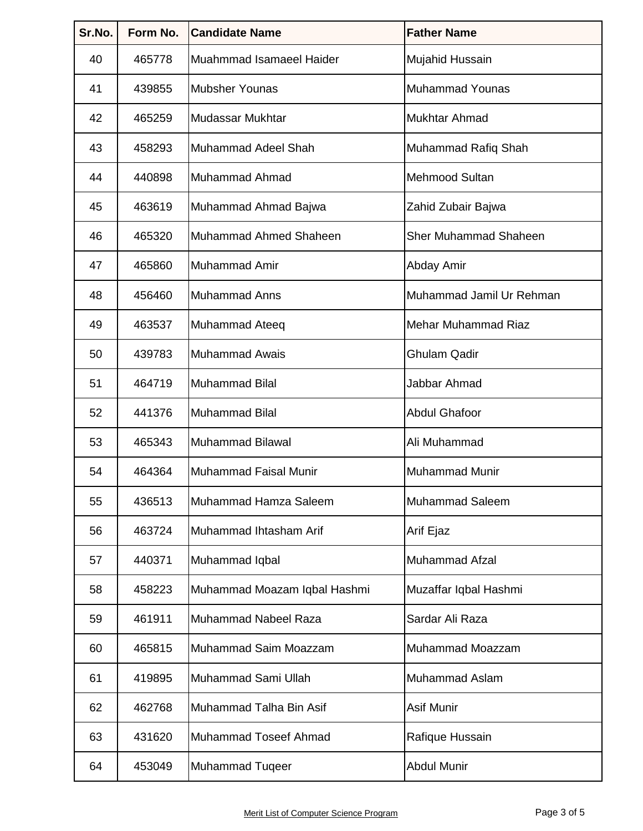| Sr.No. | Form No. | <b>Candidate Name</b>        | <b>Father Name</b>           |
|--------|----------|------------------------------|------------------------------|
| 40     | 465778   | Muahmmad Isamaeel Haider     | Mujahid Hussain              |
| 41     | 439855   | <b>Mubsher Younas</b>        | <b>Muhammad Younas</b>       |
| 42     | 465259   | Mudassar Mukhtar             | Mukhtar Ahmad                |
| 43     | 458293   | Muhammad Adeel Shah          | Muhammad Rafiq Shah          |
| 44     | 440898   | Muhammad Ahmad               | Mehmood Sultan               |
| 45     | 463619   | Muhammad Ahmad Bajwa         | Zahid Zubair Bajwa           |
| 46     | 465320   | Muhammad Ahmed Shaheen       | <b>Sher Muhammad Shaheen</b> |
| 47     | 465860   | Muhammad Amir                | Abday Amir                   |
| 48     | 456460   | <b>Muhammad Anns</b>         | Muhammad Jamil Ur Rehman     |
| 49     | 463537   | Muhammad Ateeq               | Mehar Muhammad Riaz          |
| 50     | 439783   | <b>Muhammad Awais</b>        | <b>Ghulam Qadir</b>          |
| 51     | 464719   | <b>Muhammad Bilal</b>        | Jabbar Ahmad                 |
| 52     | 441376   | <b>Muhammad Bilal</b>        | <b>Abdul Ghafoor</b>         |
| 53     | 465343   | <b>Muhammad Bilawal</b>      | Ali Muhammad                 |
| 54     | 464364   | Muhammad Faisal Munir        | Muhammad Munir               |
| 55     | 436513   | Muhammad Hamza Saleem        | <b>Muhammad Saleem</b>       |
| 56     | 463724   | Muhammad Ihtasham Arif       | Arif Ejaz                    |
| 57     | 440371   | Muhammad Iqbal               | Muhammad Afzal               |
| 58     | 458223   | Muhammad Moazam Iqbal Hashmi | Muzaffar Iqbal Hashmi        |
| 59     | 461911   | Muhammad Nabeel Raza         | Sardar Ali Raza              |
| 60     | 465815   | Muhammad Saim Moazzam        | Muhammad Moazzam             |
| 61     | 419895   | Muhammad Sami Ullah          | <b>Muhammad Aslam</b>        |
| 62     | 462768   | Muhammad Talha Bin Asif      | Asif Munir                   |
| 63     | 431620   | Muhammad Toseef Ahmad        | Rafique Hussain              |
| 64     | 453049   | <b>Muhammad Tugeer</b>       | <b>Abdul Munir</b>           |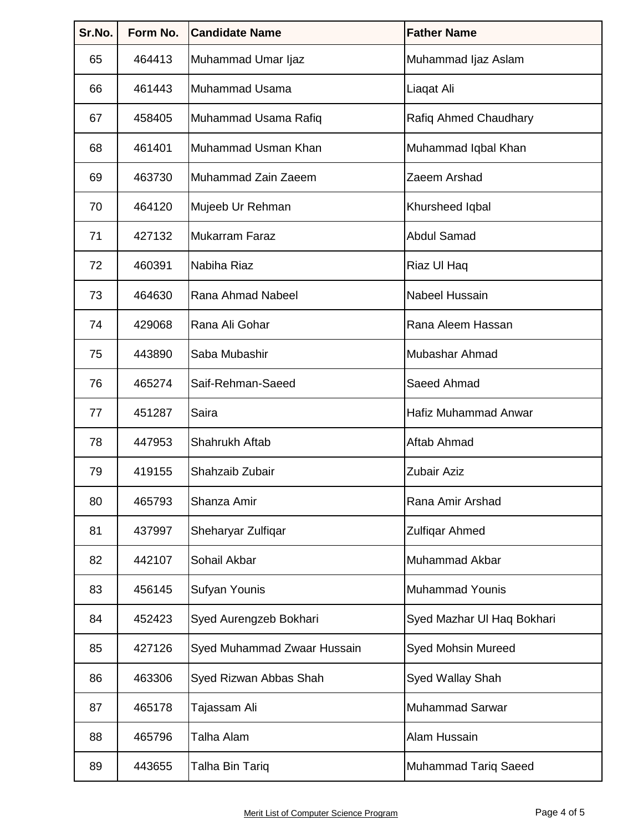| Sr.No. | Form No. | <b>Candidate Name</b>       | <b>Father Name</b>          |
|--------|----------|-----------------------------|-----------------------------|
| 65     | 464413   | Muhammad Umar Ijaz          | Muhammad Ijaz Aslam         |
| 66     | 461443   | Muhammad Usama              | Liaqat Ali                  |
| 67     | 458405   | Muhammad Usama Rafiq        | Rafiq Ahmed Chaudhary       |
| 68     | 461401   | Muhammad Usman Khan         | Muhammad Iqbal Khan         |
| 69     | 463730   | Muhammad Zain Zaeem         | Zaeem Arshad                |
| 70     | 464120   | Mujeeb Ur Rehman            | Khursheed Iqbal             |
| 71     | 427132   | <b>Mukarram Faraz</b>       | <b>Abdul Samad</b>          |
| 72     | 460391   | Nabiha Riaz                 | Riaz Ul Haq                 |
| 73     | 464630   | Rana Ahmad Nabeel           | Nabeel Hussain              |
| 74     | 429068   | Rana Ali Gohar              | Rana Aleem Hassan           |
| 75     | 443890   | Saba Mubashir               | Mubashar Ahmad              |
| 76     | 465274   | Saif-Rehman-Saeed           | Saeed Ahmad                 |
| 77     | 451287   | Saira                       | <b>Hafiz Muhammad Anwar</b> |
| 78     | 447953   | Shahrukh Aftab              | Aftab Ahmad                 |
| 79     | 419155   | Shahzaib Zubair             | Zubair Aziz                 |
| 80     | 465793   | Shanza Amir                 | Rana Amir Arshad            |
| 81     | 437997   | Sheharyar Zulfiqar          | <b>Zulfiqar Ahmed</b>       |
| 82     | 442107   | Sohail Akbar                | Muhammad Akbar              |
| 83     | 456145   | Sufyan Younis               | <b>Muhammad Younis</b>      |
| 84     | 452423   | Syed Aurengzeb Bokhari      | Syed Mazhar Ul Haq Bokhari  |
| 85     | 427126   | Syed Muhammad Zwaar Hussain | <b>Syed Mohsin Mureed</b>   |
| 86     | 463306   | Syed Rizwan Abbas Shah      | Syed Wallay Shah            |
| 87     | 465178   | Tajassam Ali                | <b>Muhammad Sarwar</b>      |
| 88     | 465796   | Talha Alam                  | Alam Hussain                |
| 89     | 443655   | Talha Bin Tariq             | Muhammad Tariq Saeed        |